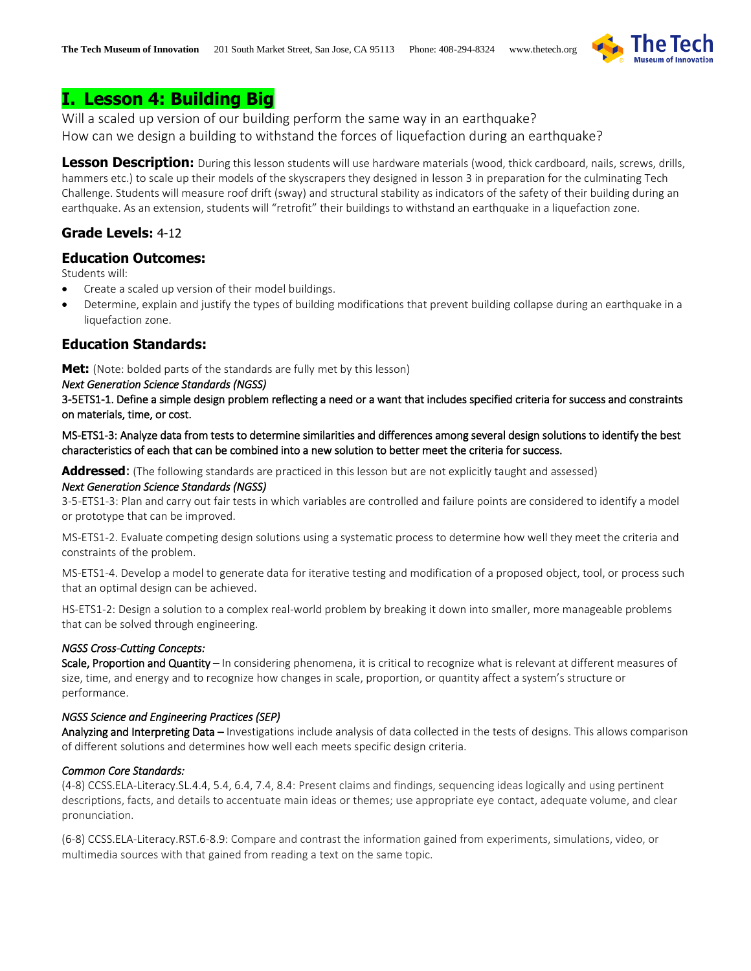

# **I. Lesson 4: Building Big**

Will a scaled up version of our building perform the same way in an earthquake? How can we design a building to withstand the forces of liquefaction during an earthquake?

**Lesson Description:** During this lesson students will use hardware materials (wood, thick cardboard, nails, screws, drills, hammers etc.) to scale up their models of the skyscrapers they designed in lesson 3 in preparation for the culminating Tech Challenge. Students will measure roof drift (sway) and structural stability as indicators of the safety of their building during an earthquake. As an extension, students will "retrofit" their buildings to withstand an earthquake in a liquefaction zone.

# **Grade Levels:** 4-12

# **Education Outcomes:**

Students will:

- Create a scaled up version of their model buildings.
- Determine, explain and justify the types of building modifications that prevent building collapse during an earthquake in a liquefaction zone.

# **Education Standards:**

**Met:** (Note: bolded parts of the standards are fully met by this lesson)

### *Next Generation Science Standards (NGSS)*

3-5ETS1-1. Define a simple design problem reflecting a need or a want that includes specified criteria for success and constraints on materials, time, or cost.

MS-ETS1-3: Analyze data from tests to determine similarities and differences among several design solutions to identify the best characteristics of each that can be combined into a new solution to better meet the criteria for success.

**Addressed**: (The following standards are practiced in this lesson but are not explicitly taught and assessed)

### *Next Generation Science Standards (NGSS)*

3-5-ETS1-3: Plan and carry out fair tests in which variables are controlled and failure points are considered to identify a model or prototype that can be improved.

MS-ETS1-2. Evaluate competing design solutions using a systematic process to determine how well they meet the criteria and constraints of the problem.

MS-ETS1-4. Develop a model to generate data for iterative testing and modification of a proposed object, tool, or process such that an optimal design can be achieved.

HS-ETS1-2: Design a solution to a complex real-world problem by breaking it down into smaller, more manageable problems that can be solved through engineering.

### *NGSS Cross-Cutting Concepts:*

Scale, Proportion and Quantity – In considering phenomena, it is critical to recognize what is relevant at different measures of size, time, and energy and to recognize how changes in scale, proportion, or quantity affect a system's structure or performance.

### *NGSS Science and Engineering Practices (SEP)*

Analyzing and Interpreting Data – Investigations include analysis of data collected in the tests of designs. This allows comparison of different solutions and determines how well each meets specific design criteria.

### *Common Core Standards:*

(4-8) CCSS.ELA-Literacy.SL.4.4, 5.4, 6.4, 7.4, 8.4: Present claims and findings, sequencing ideas logically and using pertinent descriptions, facts, and details to accentuate main ideas or themes; use appropriate eye contact, adequate volume, and clear pronunciation.

(6-8) CCSS.ELA-Literacy.RST.6-8.9: Compare and contrast the information gained from experiments, simulations, video, or multimedia sources with that gained from reading a text on the same topic.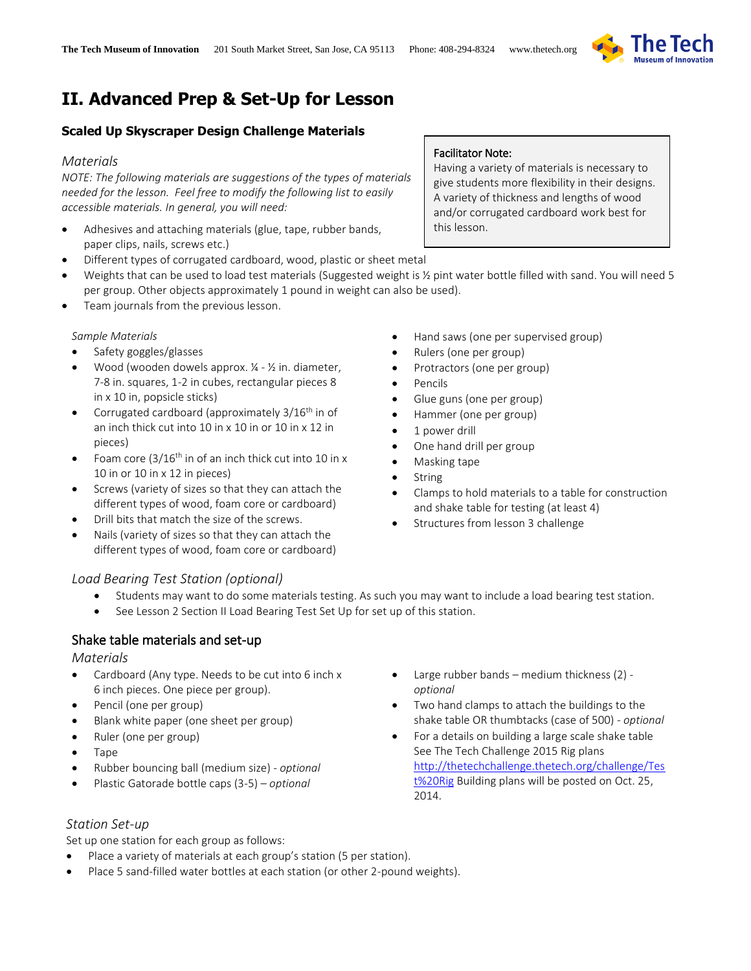

# **II. Advanced Prep & Set-Up for Lesson**

# **Scaled Up Skyscraper Design Challenge Materials**

### *Materials*

*NOTE: The following materials are suggestions of the types of materials needed for the lesson. Feel free to modify the following list to easily accessible materials. In general, you will need:*

- Adhesives and attaching materials (glue, tape, rubber bands, paper clips, nails, screws etc.)
- Different types of corrugated cardboard, wood, plastic or sheet metal
- Weights that can be used to load test materials (Suggested weight is % pint water bottle filled with sand. You will need 5 per group. Other objects approximately 1 pound in weight can also be used).
- Team journals from the previous lesson.

### *Sample Materials*

- Safety goggles/glasses
- Wood (wooden dowels approx.  $\frac{1}{4}$   $\frac{1}{2}$  in. diameter, 7-8 in. squares, 1-2 in cubes, rectangular pieces 8 in x 10 in, popsicle sticks)
- Corrugated cardboard (approximately  $3/16^{th}$  in of an inch thick cut into 10 in x 10 in or 10 in x 12 in pieces)
- Foam core  $(3/16^{th}$  in of an inch thick cut into 10 in x 10 in or 10 in x 12 in pieces)
- Screws (variety of sizes so that they can attach the different types of wood, foam core or cardboard)
- Drill bits that match the size of the screws.
- Nails (variety of sizes so that they can attach the different types of wood, foam core or cardboard)
- Hand saws (one per supervised group)
- Rulers (one per group)
- Protractors (one per group)
- Pencils
- Glue guns (one per group)
- Hammer (one per group)
- 1 power drill
- One hand drill per group
- Masking tape
- String
- Clamps to hold materials to a table for construction and shake table for testing (at least 4)
- Structures from lesson 3 challenge

### *Load Bearing Test Station (optional)*

- Students may want to do some materials testing. As such you may want to include a load bearing test station.
- See Lesson 2 Section II Load Bearing Test Set Up for set up of this station.

# Shake table materials and set-up

### *Materials*

- Cardboard (Any type. Needs to be cut into 6 inch x 6 inch pieces. One piece per group).
- Pencil (one per group)
- Blank white paper (one sheet per group)
- Ruler (one per group)
- Tape
- Rubber bouncing ball (medium size) *optional*
- Plastic Gatorade bottle caps (3-5) *optional*
- Large rubber bands medium thickness (2) *optional*
- Two hand clamps to attach the buildings to the shake table OR thumbtacks (case of 500) - *optional*
- For a details on building a large scale shake table See The Tech Challenge 2015 Rig plans [http://thetechchallenge.thetech.org/challenge/Tes](http://thetechchallenge.thetech.org/challenge/Test%20Rig) [t%20Rig](http://thetechchallenge.thetech.org/challenge/Test%20Rig) Building plans will be posted on Oct. 25, 2014.

### *Station Set-up*

Set up one station for each group as follows:

- Place a variety of materials at each group's station (5 per station).
- Place 5 sand-filled water bottles at each station (or other 2-pound weights).

# Facilitator Note:

Having a variety of materials is necessary to give students more flexibility in their designs. A variety of thickness and lengths of wood and/or corrugated cardboard work best for this lesson.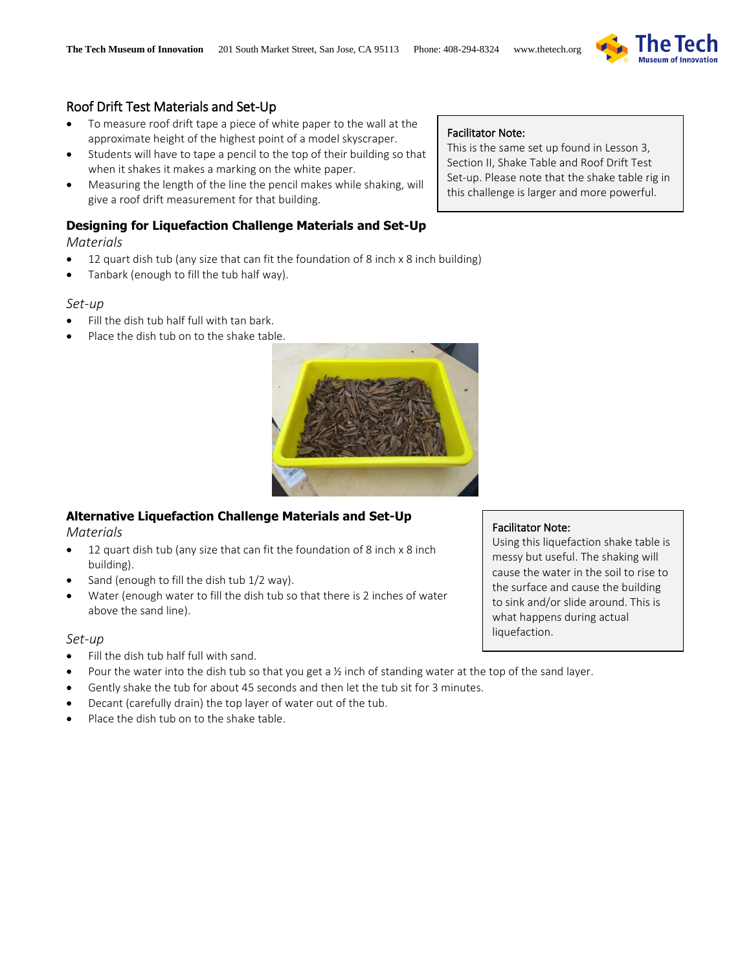

# Roof Drift Test Materials and Set-Up

- To measure roof drift tape a piece of white paper to the wall at the approximate height of the highest point of a model skyscraper.
- Students will have to tape a pencil to the top of their building so that when it shakes it makes a marking on the white paper.
- Measuring the length of the line the pencil makes while shaking, will give a roof drift measurement for that building.

# **Designing for Liquefaction Challenge Materials and Set-Up**

*Materials*

- 12 quart dish tub (any size that can fit the foundation of 8 inch x 8 inch building)
- Tanbark (enough to fill the tub half way).

## *Set-up*

- Fill the dish tub half full with tan bark.
- Place the dish tub on to the shake table.



# **Alternative Liquefaction Challenge Materials and Set-Up**

*Materials*

- 12 quart dish tub (any size that can fit the foundation of 8 inch x 8 inch building).
- Sand (enough to fill the dish tub 1/2 way).
- Water (enough water to fill the dish tub so that there is 2 inches of water above the sand line).

# *Set-up*

- Fill the dish tub half full with sand.
- Pour the water into the dish tub so that you get a ½ inch of standing water at the top of the sand layer.
- Gently shake the tub for about 45 seconds and then let the tub sit for 3 minutes.
- Decant (carefully drain) the top layer of water out of the tub.
- Place the dish tub on to the shake table.

# Facilitator Note:

This is the same set up found in Lesson 3, Section II, Shake Table and Roof Drift Test Set-up. Please note that the shake table rig in this challenge is larger and more powerful.

# Facilitator Note:

Using this liquefaction shake table is messy but useful. The shaking will cause the water in the soil to rise to the surface and cause the building to sink and/or slide around. This is what happens during actual liquefaction.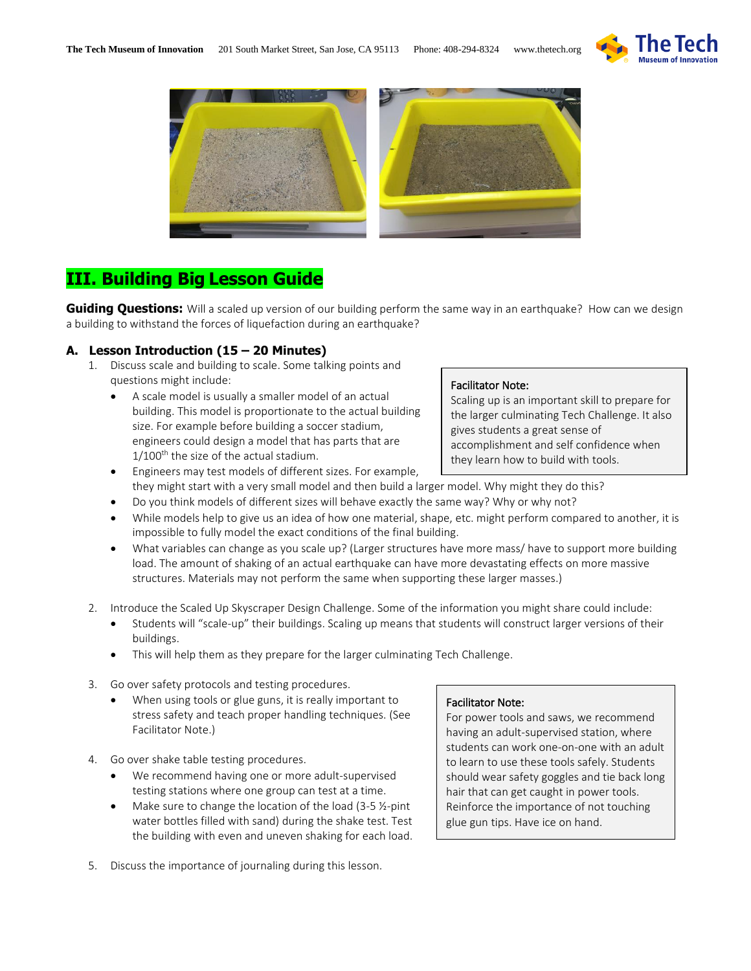



# **III. Building Big Lesson Guide**

**Guiding Questions:** Will a scaled up version of our building perform the same way in an earthquake? How can we design a building to withstand the forces of liquefaction during an earthquake?

## **A. Lesson Introduction (15 – 20 Minutes)**

- 1. Discuss scale and building to scale. Some talking points and questions might include:
	- A scale model is usually a smaller model of an actual building. This model is proportionate to the actual building size. For example before building a soccer stadium, engineers could design a model that has parts that are  $1/100$ <sup>th</sup> the size of the actual stadium.

#### Facilitator Note:

Scaling up is an important skill to prepare for the larger culminating Tech Challenge. It also gives students a great sense of accomplishment and self confidence when they learn how to build with tools.

- Engineers may test models of different sizes. For example, they might start with a very small model and then build a larger model. Why might they do this?
- Do you think models of different sizes will behave exactly the same way? Why or why not?
- While models help to give us an idea of how one material, shape, etc. might perform compared to another, it is impossible to fully model the exact conditions of the final building.
- What variables can change as you scale up? (Larger structures have more mass/ have to support more building load. The amount of shaking of an actual earthquake can have more devastating effects on more massive structures. Materials may not perform the same when supporting these larger masses.)
- 2. Introduce the Scaled Up Skyscraper Design Challenge. Some of the information you might share could include:
	- Students will "scale-up" their buildings. Scaling up means that students will construct larger versions of their buildings.
	- This will help them as they prepare for the larger culminating Tech Challenge.
- 3. Go over safety protocols and testing procedures.
	- When using tools or glue guns, it is really important to stress safety and teach proper handling techniques. (See Facilitator Note.)
- 4. Go over shake table testing procedures.
	- We recommend having one or more adult-supervised testing stations where one group can test at a time.
	- Make sure to change the location of the load (3-5 ½-pint water bottles filled with sand) during the shake test. Test the building with even and uneven shaking for each load.
- 5. Discuss the importance of journaling during this lesson.

### Facilitator Note:

For power tools and saws, we recommend having an adult-supervised station, where students can work one-on-one with an adult to learn to use these tools safely. Students should wear safety goggles and tie back long hair that can get caught in power tools. Reinforce the importance of not touching glue gun tips. Have ice on hand.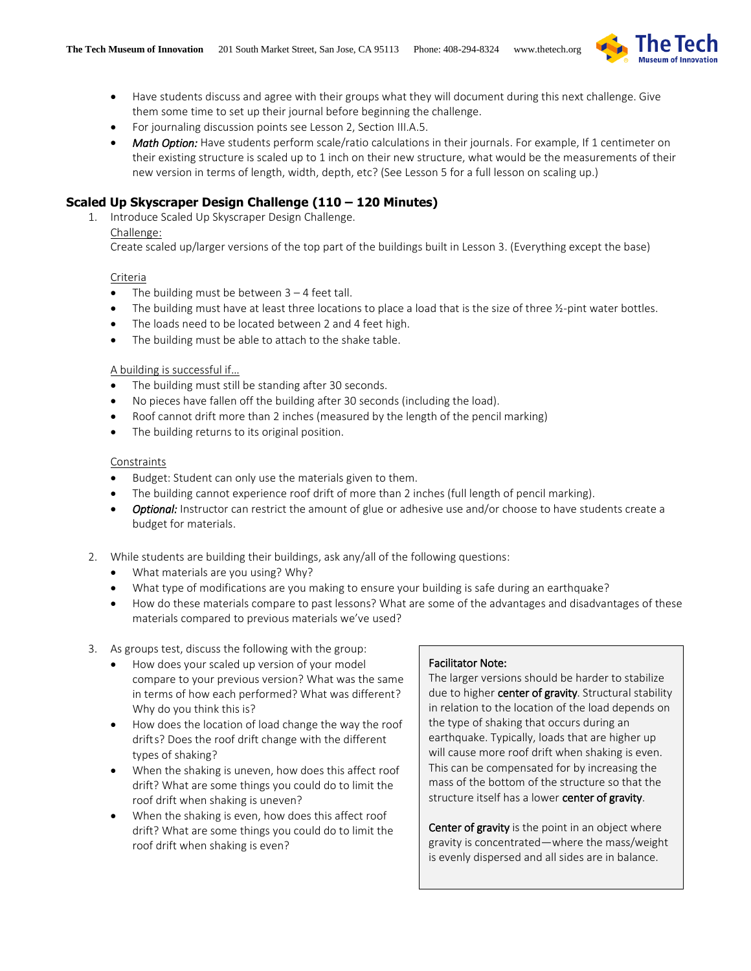

- Have students discuss and agree with their groups what they will document during this next challenge. Give them some time to set up their journal before beginning the challenge.
- For journaling discussion points see Lesson 2, Section III.A.5.
- *Math Option:* Have students perform scale/ratio calculations in their journals. For example, If 1 centimeter on their existing structure is scaled up to 1 inch on their new structure, what would be the measurements of their new version in terms of length, width, depth, etc? (See Lesson 5 for a full lesson on scaling up.)

## **Scaled Up Skyscraper Design Challenge (110 – 120 Minutes)**

1. Introduce Scaled Up Skyscraper Design Challenge. Challenge:

Create scaled up/larger versions of the top part of the buildings built in Lesson 3. (Everything except the base)

### Criteria

- $\bullet$  The building must be between  $3 4$  feet tall.
- The building must have at least three locations to place a load that is the size of three ½-pint water bottles.
- The loads need to be located between 2 and 4 feet high.
- The building must be able to attach to the shake table.

### A building is successful if…

- The building must still be standing after 30 seconds.
- No pieces have fallen off the building after 30 seconds (including the load).
- Roof cannot drift more than 2 inches (measured by the length of the pencil marking)
- The building returns to its original position.

### Constraints

- Budget: Student can only use the materials given to them.
- The building cannot experience roof drift of more than 2 inches (full length of pencil marking).
- *Optional:* Instructor can restrict the amount of glue or adhesive use and/or choose to have students create a budget for materials.
- 2. While students are building their buildings, ask any/all of the following questions:
	- What materials are you using? Why?
	- What type of modifications are you making to ensure your building is safe during an earthquake?
	- How do these materials compare to past lessons? What are some of the advantages and disadvantages of these materials compared to previous materials we've used?

3. As groups test, discuss the following with the group:

- How does your scaled up version of your model compare to your previous version? What was the same in terms of how each performed? What was different? Why do you think this is?
- How does the location of load change the way the roof drifts? Does the roof drift change with the different types of shaking?
- When the shaking is uneven, how does this affect roof drift? What are some things you could do to limit the roof drift when shaking is uneven?
- When the shaking is even, how does this affect roof drift? What are some things you could do to limit the roof drift when shaking is even?

### Facilitator Note:

The larger versions should be harder to stabilize due to higher center of gravity. Structural stability in relation to the location of the load depends on the type of shaking that occurs during an earthquake. Typically, loads that are higher up will cause more roof drift when shaking is even. This can be compensated for by increasing the mass of the bottom of the structure so that the structure itself has a lower center of gravity.

Center of gravity is the point in an object where gravity is concentrated—where the mass/weight is evenly dispersed and all sides are in balance.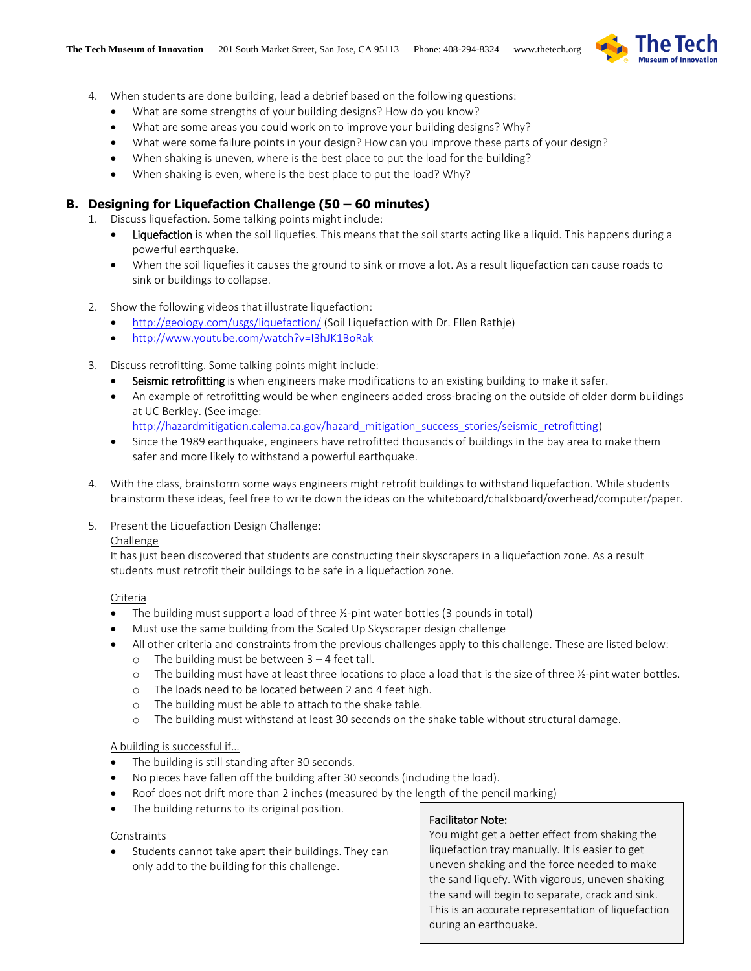

- 4. When students are done building, lead a debrief based on the following questions:
	- What are some strengths of your building designs? How do you know?
	- What are some areas you could work on to improve your building designs? Why?
	- What were some failure points in your design? How can you improve these parts of your design?
	- When shaking is uneven, where is the best place to put the load for the building?
	- When shaking is even, where is the best place to put the load? Why?

## **B. Designing for Liquefaction Challenge (50 – 60 minutes)**

1. Discuss liquefaction. Some talking points might include:

- **.** Liquefaction is when the soil liquefies. This means that the soil starts acting like a liquid. This happens during a powerful earthquake.
- When the soil liquefies it causes the ground to sink or move a lot. As a result liquefaction can cause roads to sink or buildings to collapse.
- 2. Show the following videos that illustrate liquefaction:
	- <http://geology.com/usgs/liquefaction/> (Soil Liquefaction with Dr. Ellen Rathje)
	- <http://www.youtube.com/watch?v=I3hJK1BoRak>
- 3. Discuss retrofitting. Some talking points might include:
	- Seismic retrofitting is when engineers make modifications to an existing building to make it safer.
	- An example of retrofitting would be when engineers added cross-bracing on the outside of older dorm buildings at UC Berkley. (See image:
		- [http://hazardmitigation.calema.ca.gov/hazard\\_mitigation\\_success\\_stories/seismic\\_retrofitting\)](http://hazardmitigation.calema.ca.gov/hazard_mitigation_success_stories/seismic_retrofitting)
	- Since the 1989 earthquake, engineers have retrofitted thousands of buildings in the bay area to make them safer and more likely to withstand a powerful earthquake.
- 4. With the class, brainstorm some ways engineers might retrofit buildings to withstand liquefaction. While students brainstorm these ideas, feel free to write down the ideas on the whiteboard/chalkboard/overhead/computer/paper.
- 5. Present the Liquefaction Design Challenge:

### Challenge

It has just been discovered that students are constructing their skyscrapers in a liquefaction zone. As a result students must retrofit their buildings to be safe in a liquefaction zone.

### Criteria

- The building must support a load of three ½-pint water bottles (3 pounds in total)
- Must use the same building from the Scaled Up Skyscraper design challenge
	- All other criteria and constraints from the previous challenges apply to this challenge. These are listed below:
		- o The building must be between  $3 4$  feet tall.
		- o The building must have at least three locations to place a load that is the size of three ½-pint water bottles.
		- o The loads need to be located between 2 and 4 feet high.
		- o The building must be able to attach to the shake table.
		- o The building must withstand at least 30 seconds on the shake table without structural damage.

### A building is successful if…

- The building is still standing after 30 seconds.
- No pieces have fallen off the building after 30 seconds (including the load).
- Roof does not drift more than 2 inches (measured by the length of the pencil marking)
- The building returns to its original position.

### Constraints

 Students cannot take apart their buildings. They can only add to the building for this challenge.

### Facilitator Note:

You might get a better effect from shaking the liquefaction tray manually. It is easier to get uneven shaking and the force needed to make the sand liquefy. With vigorous, uneven shaking the sand will begin to separate, crack and sink. This is an accurate representation of liquefaction during an earthquake.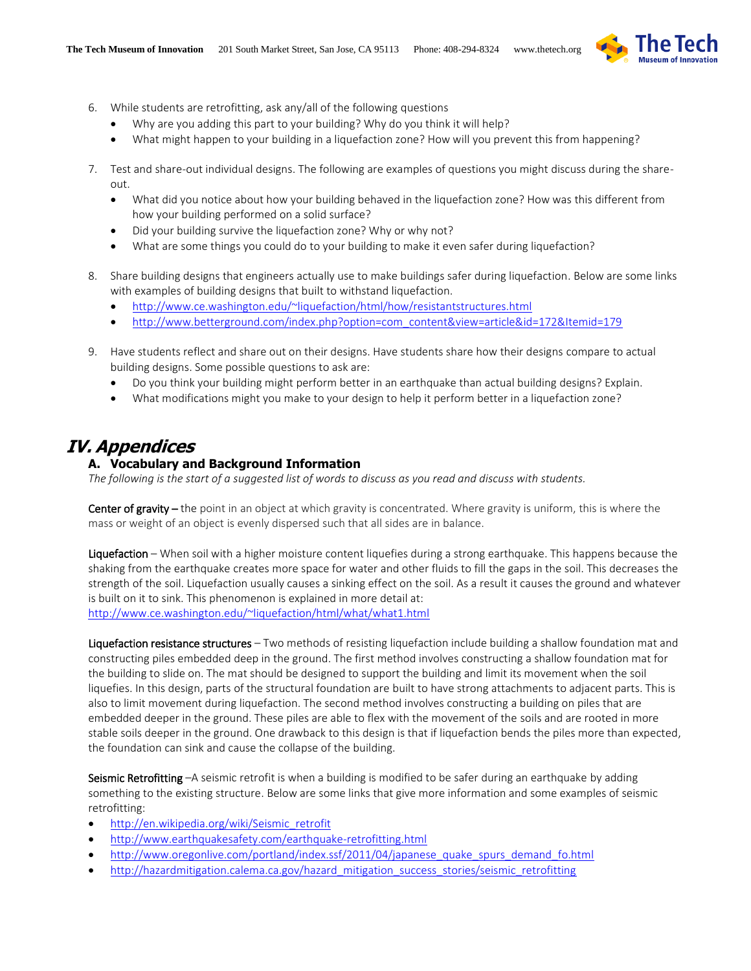

- 6. While students are retrofitting, ask any/all of the following questions
	- Why are you adding this part to your building? Why do you think it will help?
	- What might happen to your building in a liquefaction zone? How will you prevent this from happening?
- 7. Test and share-out individual designs. The following are examples of questions you might discuss during the shareout.
	- What did you notice about how your building behaved in the liquefaction zone? How was this different from how your building performed on a solid surface?
	- Did your building survive the liquefaction zone? Why or why not?
	- What are some things you could do to your building to make it even safer during liquefaction?
- 8. Share building designs that engineers actually use to make buildings safer during liquefaction. Below are some links with examples of building designs that built to withstand liquefaction.
	- <http://www.ce.washington.edu/~liquefaction/html/how/resistantstructures.html>
	- [http://www.betterground.com/index.php?option=com\\_content&view=article&id=172&Itemid=179](http://www.betterground.com/index.php?option=com_content&view=article&id=172&Itemid=179)
- 9. Have students reflect and share out on their designs. Have students share how their designs compare to actual building designs. Some possible questions to ask are:
	- Do you think your building might perform better in an earthquake than actual building designs? Explain.
	- What modifications might you make to your design to help it perform better in a liquefaction zone?

# **IV. Appendices**

### **A. Vocabulary and Background Information**

*The following is the start of a suggested list of words to discuss as you read and discuss with students.*

Center of gravity – the point in an object at which gravity is concentrated. Where gravity is uniform, this is where the mass or weight of an object is evenly dispersed such that all sides are in balance.

Liquefaction – When soil with a higher moisture content liquefies during a strong earthquake. This happens because the shaking from the earthquake creates more space for water and other fluids to fill the gaps in the soil. This decreases the strength of the soil. Liquefaction usually causes a sinking effect on the soil. As a result it causes the ground and whatever is built on it to sink. This phenomenon is explained in more detail at: <http://www.ce.washington.edu/~liquefaction/html/what/what1.html>

Liquefaction resistance structures – Two methods of resisting liquefaction include building a shallow foundation mat and constructing piles embedded deep in the ground. The first method involves constructing a shallow foundation mat for the building to slide on. The mat should be designed to support the building and limit its movement when the soil liquefies. In this design, parts of the structural foundation are built to have strong attachments to adjacent parts. This is also to limit movement during liquefaction. The second method involves constructing a building on piles that are embedded deeper in the ground. These piles are able to flex with the movement of the soils and are rooted in more stable soils deeper in the ground. One drawback to this design is that if liquefaction bends the piles more than expected, the foundation can sink and cause the collapse of the building.

Seismic Retrofitting -A seismic retrofit is when a building is modified to be safer during an earthquake by adding something to the existing structure. Below are some links that give more information and some examples of seismic retrofitting:

- [http://en.wikipedia.org/wiki/Seismic\\_retrofit](http://en.wikipedia.org/wiki/Seismic_retrofit)
- <http://www.earthquakesafety.com/earthquake-retrofitting.html>
- [http://www.oregonlive.com/portland/index.ssf/2011/04/japanese\\_quake\\_spurs\\_demand\\_fo.html](http://www.oregonlive.com/portland/index.ssf/2011/04/japanese_quake_spurs_demand_fo.html)
- [http://hazardmitigation.calema.ca.gov/hazard\\_mitigation\\_success\\_stories/seismic\\_retrofitting](http://hazardmitigation.calema.ca.gov/hazard_mitigation_success_stories/seismic_retrofitting)